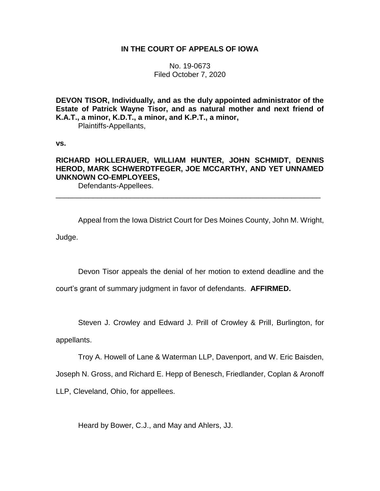## **IN THE COURT OF APPEALS OF IOWA**

No. 19-0673 Filed October 7, 2020

**DEVON TISOR, Individually, and as the duly appointed administrator of the Estate of Patrick Wayne Tisor, and as natural mother and next friend of K.A.T., a minor, K.D.T., a minor, and K.P.T., a minor,**

Plaintiffs-Appellants,

**vs.**

# **RICHARD HOLLERAUER, WILLIAM HUNTER, JOHN SCHMIDT, DENNIS HEROD, MARK SCHWERDTFEGER, JOE MCCARTHY, AND YET UNNAMED UNKNOWN CO-EMPLOYEES,**

\_\_\_\_\_\_\_\_\_\_\_\_\_\_\_\_\_\_\_\_\_\_\_\_\_\_\_\_\_\_\_\_\_\_\_\_\_\_\_\_\_\_\_\_\_\_\_\_\_\_\_\_\_\_\_\_\_\_\_\_\_\_\_\_

Defendants-Appellees.

Appeal from the Iowa District Court for Des Moines County, John M. Wright, Judge.

Devon Tisor appeals the denial of her motion to extend deadline and the

court's grant of summary judgment in favor of defendants. **AFFIRMED.**

Steven J. Crowley and Edward J. Prill of Crowley & Prill, Burlington, for

appellants.

Troy A. Howell of Lane & Waterman LLP, Davenport, and W. Eric Baisden,

Joseph N. Gross, and Richard E. Hepp of Benesch, Friedlander, Coplan & Aronoff

LLP, Cleveland, Ohio, for appellees.

Heard by Bower, C.J., and May and Ahlers, JJ.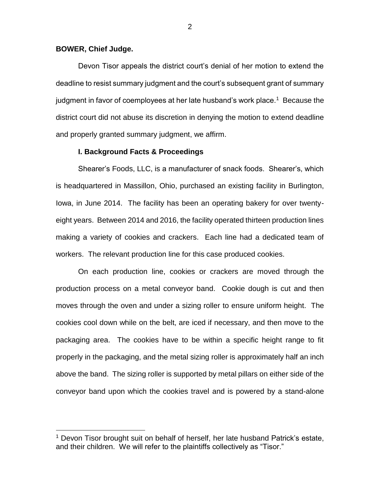## **BOWER, Chief Judge.**

 $\overline{a}$ 

Devon Tisor appeals the district court's denial of her motion to extend the deadline to resist summary judgment and the court's subsequent grant of summary judgment in favor of coemployees at her late husband's work place. $^\mathrm{1}\,$  Because the district court did not abuse its discretion in denying the motion to extend deadline and properly granted summary judgment, we affirm.

## **I. Background Facts & Proceedings**

Shearer's Foods, LLC, is a manufacturer of snack foods. Shearer's, which is headquartered in Massillon, Ohio, purchased an existing facility in Burlington, Iowa, in June 2014. The facility has been an operating bakery for over twentyeight years. Between 2014 and 2016, the facility operated thirteen production lines making a variety of cookies and crackers. Each line had a dedicated team of workers. The relevant production line for this case produced cookies.

On each production line, cookies or crackers are moved through the production process on a metal conveyor band. Cookie dough is cut and then moves through the oven and under a sizing roller to ensure uniform height. The cookies cool down while on the belt, are iced if necessary, and then move to the packaging area. The cookies have to be within a specific height range to fit properly in the packaging, and the metal sizing roller is approximately half an inch above the band. The sizing roller is supported by metal pillars on either side of the conveyor band upon which the cookies travel and is powered by a stand-alone

<sup>&</sup>lt;sup>1</sup> Devon Tisor brought suit on behalf of herself, her late husband Patrick's estate, and their children. We will refer to the plaintiffs collectively as "Tisor."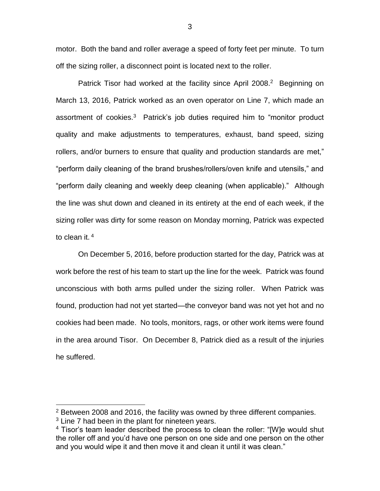motor. Both the band and roller average a speed of forty feet per minute. To turn off the sizing roller, a disconnect point is located next to the roller.

Patrick Tisor had worked at the facility since April 2008.<sup>2</sup> Beginning on March 13, 2016, Patrick worked as an oven operator on Line 7, which made an assortment of cookies.<sup>3</sup> Patrick's job duties required him to "monitor product quality and make adjustments to temperatures, exhaust, band speed, sizing rollers, and/or burners to ensure that quality and production standards are met," "perform daily cleaning of the brand brushes/rollers/oven knife and utensils," and "perform daily cleaning and weekly deep cleaning (when applicable)." Although the line was shut down and cleaned in its entirety at the end of each week, if the sizing roller was dirty for some reason on Monday morning, Patrick was expected to clean it. <sup>4</sup>

On December 5, 2016, before production started for the day, Patrick was at work before the rest of his team to start up the line for the week. Patrick was found unconscious with both arms pulled under the sizing roller. When Patrick was found, production had not yet started—the conveyor band was not yet hot and no cookies had been made. No tools, monitors, rags, or other work items were found in the area around Tisor. On December 8, Patrick died as a result of the injuries he suffered.

 $\overline{a}$ 

<sup>&</sup>lt;sup>2</sup> Between 2008 and 2016, the facility was owned by three different companies.

 $3$  Line 7 had been in the plant for nineteen years.

 $4$  Tisor's team leader described the process to clean the roller: "[W]e would shut the roller off and you'd have one person on one side and one person on the other and you would wipe it and then move it and clean it until it was clean."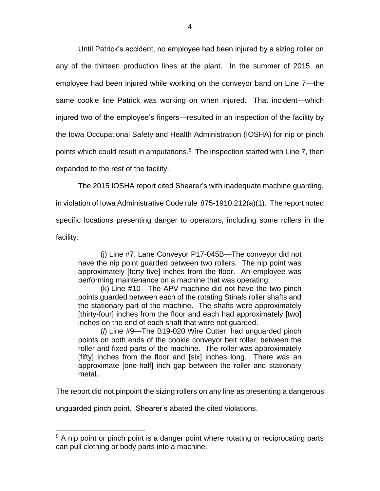Until Patrick's accident, no employee had been injured by a sizing roller on any of the thirteen production lines at the plant. In the summer of 2015, an employee had been injured while working on the conveyor band on Line 7—the same cookie line Patrick was working on when injured. That incident—which injured two of the employee's fingers—resulted in an inspection of the facility by the Iowa Occupational Safety and Health Administration (IOSHA) for nip or pinch points which could result in amputations.<sup>5</sup> The inspection started with Line 7, then expanded to the rest of the facility.

The 2015 IOSHA report cited Shearer's with inadequate machine guarding,

in violation of Iowa Administrative Code rule 875-1910.212(a)(1). The report noted specific locations presenting danger to operators, including some rollers in the facility:

(j) Line #7, Lane Conveyor P17-045B—The conveyor did not have the nip point guarded between two rollers. The nip point was approximately [forty-five] inches from the floor. An employee was performing maintenance on a machine that was operating.

(k) Line #10—The APV machine did not have the two pinch points guarded between each of the rotating Stinals roller shafts and the stationary part of the machine. The shafts were approximately [thirty-four] inches from the floor and each had approximately [two] inches on the end of each shaft that were not guarded.

(*l*) Line #9—The B19-020 Wire Cutter, had unguarded pinch points on both ends of the cookie conveyor belt roller, between the roller and fixed parts of the machine. The roller was approximately [fifty] inches from the floor and [six] inches long. There was an approximate [one-half] inch gap between the roller and stationary metal.

The report did not pinpoint the sizing rollers on any line as presenting a dangerous

unguarded pinch point. Shearer's abated the cited violations.

 $\overline{a}$ 

<sup>&</sup>lt;sup>5</sup> A nip point or pinch point is a danger point where rotating or reciprocating parts can pull clothing or body parts into a machine.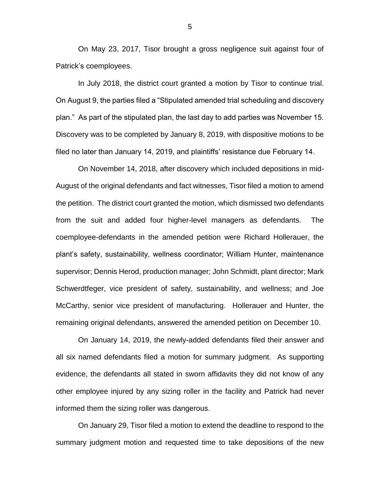On May 23, 2017, Tisor brought a gross negligence suit against four of Patrick's coemployees.

In July 2018, the district court granted a motion by Tisor to continue trial. On August 9, the parties filed a "Stipulated amended trial scheduling and discovery plan." As part of the stipulated plan, the last day to add parties was November 15. Discovery was to be completed by January 8, 2019, with dispositive motions to be filed no later than January 14, 2019, and plaintiffs' resistance due February 14.

On November 14, 2018, after discovery which included depositions in mid-August of the original defendants and fact witnesses, Tisor filed a motion to amend the petition. The district court granted the motion, which dismissed two defendants from the suit and added four higher-level managers as defendants. The coemployee-defendants in the amended petition were Richard Hollerauer, the plant's safety, sustainability, wellness coordinator; William Hunter, maintenance supervisor; Dennis Herod, production manager; John Schmidt, plant director; Mark Schwerdtfeger, vice president of safety, sustainability, and wellness; and Joe McCarthy, senior vice president of manufacturing. Hollerauer and Hunter, the remaining original defendants, answered the amended petition on December 10.

On January 14, 2019, the newly-added defendants filed their answer and all six named defendants filed a motion for summary judgment. As supporting evidence, the defendants all stated in sworn affidavits they did not know of any other employee injured by any sizing roller in the facility and Patrick had never informed them the sizing roller was dangerous.

On January 29, Tisor filed a motion to extend the deadline to respond to the summary judgment motion and requested time to take depositions of the new

5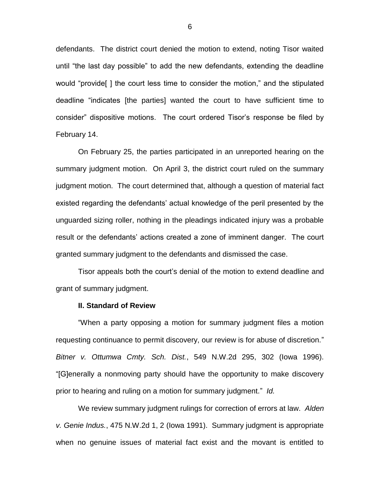defendants. The district court denied the motion to extend, noting Tisor waited until "the last day possible" to add the new defendants, extending the deadline would "provide[ ] the court less time to consider the motion," and the stipulated deadline "indicates [the parties] wanted the court to have sufficient time to consider" dispositive motions. The court ordered Tisor's response be filed by February 14.

On February 25, the parties participated in an unreported hearing on the summary judgment motion. On April 3, the district court ruled on the summary judgment motion. The court determined that, although a question of material fact existed regarding the defendants' actual knowledge of the peril presented by the unguarded sizing roller, nothing in the pleadings indicated injury was a probable result or the defendants' actions created a zone of imminent danger. The court granted summary judgment to the defendants and dismissed the case.

Tisor appeals both the court's denial of the motion to extend deadline and grant of summary judgment.

#### **II. Standard of Review**

"When a party opposing a motion for summary judgment files a motion requesting continuance to permit discovery, our review is for abuse of discretion." *Bitner v. Ottumwa Cmty. Sch. Dist.*, 549 N.W.2d 295, 302 (Iowa 1996). "[G]enerally a nonmoving party should have the opportunity to make discovery prior to hearing and ruling on a motion for summary judgment." *Id.*

We review summary judgment rulings for correction of errors at law. *Alden v. Genie Indus.*, 475 N.W.2d 1, 2 (Iowa 1991). Summary judgment is appropriate when no genuine issues of material fact exist and the movant is entitled to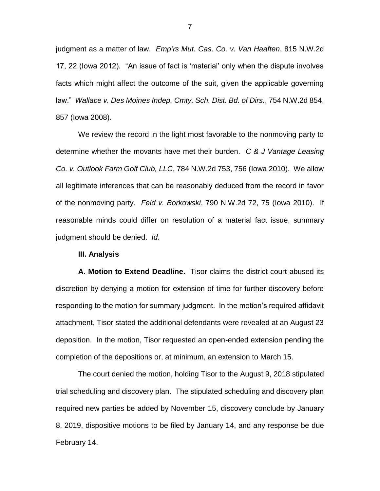judgment as a matter of law. *Emp'rs Mut. Cas. Co. v. Van Haaften*, 815 N.W.2d 17, 22 (Iowa 2012). "An issue of fact is 'material' only when the dispute involves facts which might affect the outcome of the suit, given the applicable governing law." *Wallace v. Des Moines Indep. Cmty. Sch. Dist. Bd. of Dirs.*, 754 N.W.2d 854, 857 (Iowa 2008).

We review the record in the light most favorable to the nonmoving party to determine whether the movants have met their burden. *C & J Vantage Leasing Co. v. Outlook Farm Golf Club, LLC*, 784 N.W.2d 753, 756 (Iowa 2010). We allow all legitimate inferences that can be reasonably deduced from the record in favor of the nonmoving party. *Feld v. Borkowski*, 790 N.W.2d 72, 75 (Iowa 2010). If reasonable minds could differ on resolution of a material fact issue, summary judgment should be denied. *Id.*

#### **III. Analysis**

**A. Motion to Extend Deadline.** Tisor claims the district court abused its discretion by denying a motion for extension of time for further discovery before responding to the motion for summary judgment. In the motion's required affidavit attachment, Tisor stated the additional defendants were revealed at an August 23 deposition. In the motion, Tisor requested an open-ended extension pending the completion of the depositions or, at minimum, an extension to March 15.

The court denied the motion, holding Tisor to the August 9, 2018 stipulated trial scheduling and discovery plan. The stipulated scheduling and discovery plan required new parties be added by November 15, discovery conclude by January 8, 2019, dispositive motions to be filed by January 14, and any response be due February 14.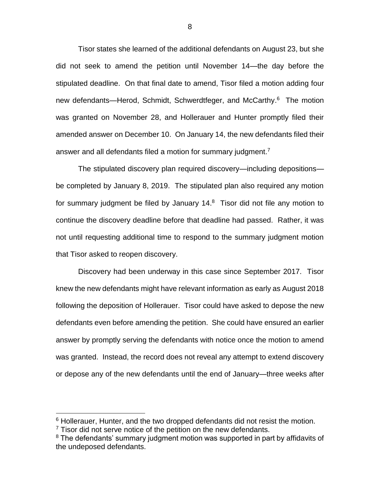Tisor states she learned of the additional defendants on August 23, but she did not seek to amend the petition until November 14—the day before the stipulated deadline. On that final date to amend, Tisor filed a motion adding four new defendants—Herod, Schmidt, Schwerdtfeger, and McCarthy.<sup>6</sup> The motion was granted on November 28, and Hollerauer and Hunter promptly filed their amended answer on December 10. On January 14, the new defendants filed their answer and all defendants filed a motion for summary judgment.<sup>7</sup>

The stipulated discovery plan required discovery—including depositions be completed by January 8, 2019. The stipulated plan also required any motion for summary judgment be filed by January 14.<sup>8</sup> Tisor did not file any motion to continue the discovery deadline before that deadline had passed. Rather, it was not until requesting additional time to respond to the summary judgment motion that Tisor asked to reopen discovery.

Discovery had been underway in this case since September 2017. Tisor knew the new defendants might have relevant information as early as August 2018 following the deposition of Hollerauer. Tisor could have asked to depose the new defendants even before amending the petition. She could have ensured an earlier answer by promptly serving the defendants with notice once the motion to amend was granted. Instead, the record does not reveal any attempt to extend discovery or depose any of the new defendants until the end of January—three weeks after

 $\overline{a}$ 

 $6$  Hollerauer, Hunter, and the two dropped defendants did not resist the motion.

 $7$  Tisor did not serve notice of the petition on the new defendants.

<sup>&</sup>lt;sup>8</sup> The defendants' summary judgment motion was supported in part by affidavits of the undeposed defendants.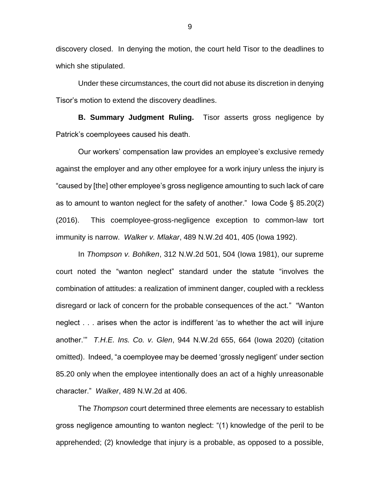discovery closed. In denying the motion, the court held Tisor to the deadlines to which she stipulated.

Under these circumstances, the court did not abuse its discretion in denying Tisor's motion to extend the discovery deadlines.

**B. Summary Judgment Ruling.** Tisor asserts gross negligence by Patrick's coemployees caused his death.

Our workers' compensation law provides an employee's exclusive remedy against the employer and any other employee for a work injury unless the injury is "caused by [the] other employee's gross negligence amounting to such lack of care as to amount to wanton neglect for the safety of another." Iowa Code § 85.20(2) (2016). This coemployee-gross-negligence exception to common-law tort immunity is narrow. *Walker v. Mlakar*, 489 N.W.2d 401, 405 (Iowa 1992).

In *Thompson v. Bohlken*, 312 N.W.2d 501, 504 (Iowa 1981), our supreme court noted the "wanton neglect" standard under the statute "involves the combination of attitudes: a realization of imminent danger, coupled with a reckless disregard or lack of concern for the probable consequences of the act." "Wanton neglect . . . arises when the actor is indifferent 'as to whether the act will injure another.'" *T.H.E. Ins. Co. v. Glen*, 944 N.W.2d 655, 664 (Iowa 2020) (citation omitted). Indeed, "a coemployee may be deemed 'grossly negligent' under section 85.20 only when the employee intentionally does an act of a highly unreasonable character." *Walker*, 489 N.W.2d at 406.

The *Thompson* court determined three elements are necessary to establish gross negligence amounting to wanton neglect: "(1) knowledge of the peril to be apprehended; (2) knowledge that injury is a probable, as opposed to a possible,

9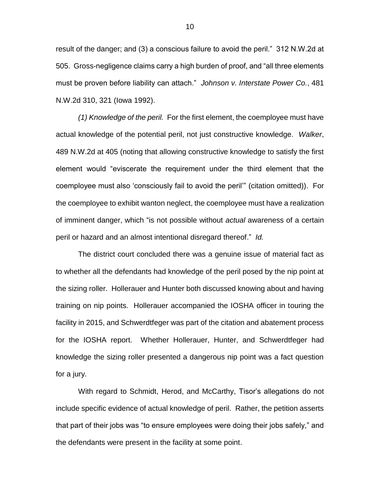result of the danger; and (3) a conscious failure to avoid the peril." 312 N.W.2d at 505. Gross-negligence claims carry a high burden of proof, and "all three elements must be proven before liability can attach." *Johnson v. Interstate Power Co.*, 481 N.W.2d 310, 321 (Iowa 1992).

*(1) Knowledge of the peril.* For the first element, the coemployee must have actual knowledge of the potential peril, not just constructive knowledge. *Walker*, 489 N.W.2d at 405 (noting that allowing constructive knowledge to satisfy the first element would "eviscerate the requirement under the third element that the coemployee must also 'consciously fail to avoid the peril'" (citation omitted)). For the coemployee to exhibit wanton neglect, the coemployee must have a realization of imminent danger, which "is not possible without *actual* awareness of a certain peril or hazard and an almost intentional disregard thereof." *Id.*

The district court concluded there was a genuine issue of material fact as to whether all the defendants had knowledge of the peril posed by the nip point at the sizing roller. Hollerauer and Hunter both discussed knowing about and having training on nip points. Hollerauer accompanied the IOSHA officer in touring the facility in 2015, and Schwerdtfeger was part of the citation and abatement process for the IOSHA report. Whether Hollerauer, Hunter, and Schwerdtfeger had knowledge the sizing roller presented a dangerous nip point was a fact question for a jury.

With regard to Schmidt, Herod, and McCarthy, Tisor's allegations do not include specific evidence of actual knowledge of peril. Rather, the petition asserts that part of their jobs was "to ensure employees were doing their jobs safely," and the defendants were present in the facility at some point.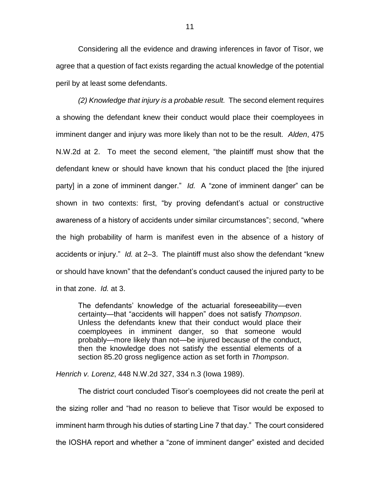Considering all the evidence and drawing inferences in favor of Tisor, we agree that a question of fact exists regarding the actual knowledge of the potential peril by at least some defendants.

*(2) Knowledge that injury is a probable result.* The second element requires a showing the defendant knew their conduct would place their coemployees in imminent danger and injury was more likely than not to be the result. *Alden*, 475 N.W.2d at 2. To meet the second element, "the plaintiff must show that the defendant knew or should have known that his conduct placed the [the injured party] in a zone of imminent danger." *Id.* A "zone of imminent danger" can be shown in two contexts: first, "by proving defendant's actual or constructive awareness of a history of accidents under similar circumstances"; second, "where the high probability of harm is manifest even in the absence of a history of accidents or injury." *Id.* at 2–3. The plaintiff must also show the defendant "knew or should have known" that the defendant's conduct caused the injured party to be in that zone. *Id.* at 3.

The defendants' knowledge of the actuarial foreseeability—even certainty—that "accidents will happen" does not satisfy *Thompson*. Unless the defendants knew that their conduct would place their coemployees in imminent danger, so that someone would probably—more likely than not—be injured because of the conduct, then the knowledge does not satisfy the essential elements of a section 85.20 gross negligence action as set forth in *Thompson*.

*Henrich v. Lorenz*, 448 N.W.2d 327, 334 n.3 (Iowa 1989).

The district court concluded Tisor's coemployees did not create the peril at the sizing roller and "had no reason to believe that Tisor would be exposed to imminent harm through his duties of starting Line 7 that day." The court considered the IOSHA report and whether a "zone of imminent danger" existed and decided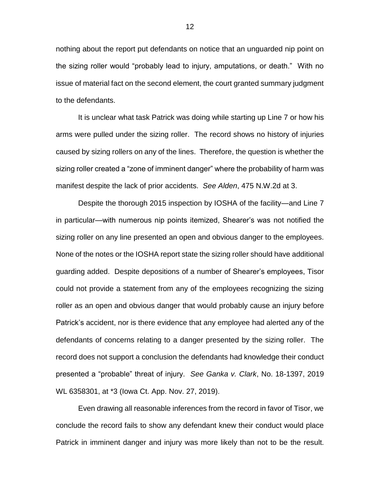nothing about the report put defendants on notice that an unguarded nip point on the sizing roller would "probably lead to injury, amputations, or death." With no issue of material fact on the second element, the court granted summary judgment to the defendants.

It is unclear what task Patrick was doing while starting up Line 7 or how his arms were pulled under the sizing roller. The record shows no history of injuries caused by sizing rollers on any of the lines. Therefore, the question is whether the sizing roller created a "zone of imminent danger" where the probability of harm was manifest despite the lack of prior accidents. *See Alden*, 475 N.W.2d at 3.

Despite the thorough 2015 inspection by IOSHA of the facility—and Line 7 in particular—with numerous nip points itemized, Shearer's was not notified the sizing roller on any line presented an open and obvious danger to the employees. None of the notes or the IOSHA report state the sizing roller should have additional guarding added. Despite depositions of a number of Shearer's employees, Tisor could not provide a statement from any of the employees recognizing the sizing roller as an open and obvious danger that would probably cause an injury before Patrick's accident, nor is there evidence that any employee had alerted any of the defendants of concerns relating to a danger presented by the sizing roller. The record does not support a conclusion the defendants had knowledge their conduct presented a "probable" threat of injury. *See Ganka v. Clark*, No. 18-1397, 2019 WL 6358301, at \*3 (Iowa Ct. App. Nov. 27, 2019).

Even drawing all reasonable inferences from the record in favor of Tisor, we conclude the record fails to show any defendant knew their conduct would place Patrick in imminent danger and injury was more likely than not to be the result.